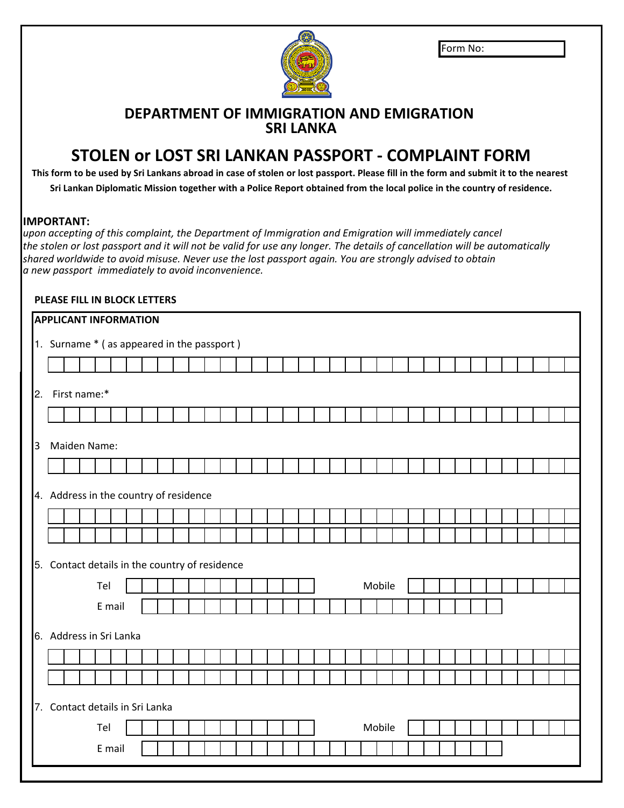| lForm No: |  |
|-----------|--|
|-----------|--|



## **DEPARTMENT OF IMMIGRATION AND EMIGRATION SRI LANKA**

## **STOLEN or LOST SRI LANKAN PASSPORT - COMPLAINT FORM**

**Sri Lankan Diplomatic Mission together with a Police Report obtained from the local police in the country of residence. This form to be used by Sri Lankans abroad in case of stolen or lost passport. Please fill in the form and submit it to the nearest** 

## **IMPORTANT:**

*upon accepting of this complaint, the Department of Immigration and Emigration will immediately cancel shared worldwide to avoid misuse. Never use the lost passport again. You are strongly advised to obtain a new passport immediately to avoid inconvenience. the stolen or lost passport and it will not be valid for use any longer. The details of cancellation will be automatically*

## **PLEASE FILL IN BLOCK LETTERS**

|                |  | <b>APPLICANT INFORMATION</b>    |        |  |  |                                                |  |  |  |  |  |  |        |  |  |  |  |  |  |  |
|----------------|--|---------------------------------|--------|--|--|------------------------------------------------|--|--|--|--|--|--|--------|--|--|--|--|--|--|--|
|                |  |                                 |        |  |  | 1. Surname * ( as appeared in the passport )   |  |  |  |  |  |  |        |  |  |  |  |  |  |  |
|                |  |                                 |        |  |  |                                                |  |  |  |  |  |  |        |  |  |  |  |  |  |  |
| 2.             |  | First name:*                    |        |  |  |                                                |  |  |  |  |  |  |        |  |  |  |  |  |  |  |
|                |  |                                 |        |  |  |                                                |  |  |  |  |  |  |        |  |  |  |  |  |  |  |
| $\overline{3}$ |  | Maiden Name:                    |        |  |  |                                                |  |  |  |  |  |  |        |  |  |  |  |  |  |  |
|                |  |                                 |        |  |  |                                                |  |  |  |  |  |  |        |  |  |  |  |  |  |  |
|                |  |                                 |        |  |  | 4. Address in the country of residence         |  |  |  |  |  |  |        |  |  |  |  |  |  |  |
|                |  |                                 |        |  |  |                                                |  |  |  |  |  |  |        |  |  |  |  |  |  |  |
|                |  |                                 |        |  |  |                                                |  |  |  |  |  |  |        |  |  |  |  |  |  |  |
|                |  |                                 |        |  |  | 5. Contact details in the country of residence |  |  |  |  |  |  |        |  |  |  |  |  |  |  |
|                |  | Tel                             |        |  |  |                                                |  |  |  |  |  |  | Mobile |  |  |  |  |  |  |  |
|                |  |                                 | E mail |  |  |                                                |  |  |  |  |  |  |        |  |  |  |  |  |  |  |
|                |  | 6. Address in Sri Lanka         |        |  |  |                                                |  |  |  |  |  |  |        |  |  |  |  |  |  |  |
|                |  |                                 |        |  |  |                                                |  |  |  |  |  |  |        |  |  |  |  |  |  |  |
|                |  |                                 |        |  |  |                                                |  |  |  |  |  |  |        |  |  |  |  |  |  |  |
|                |  | 7. Contact details in Sri Lanka |        |  |  |                                                |  |  |  |  |  |  |        |  |  |  |  |  |  |  |
|                |  | Tel                             |        |  |  |                                                |  |  |  |  |  |  | Mobile |  |  |  |  |  |  |  |
|                |  |                                 | E mail |  |  |                                                |  |  |  |  |  |  |        |  |  |  |  |  |  |  |